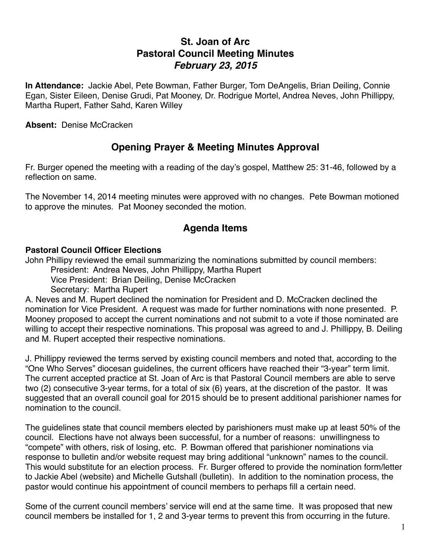# **St. Joan of Arc Pastoral Council Meeting Minutes** *February 23, 2015*

**In Attendance:** Jackie Abel, Pete Bowman, Father Burger, Tom DeAngelis, Brian Deiling, Connie Egan, Sister Eileen, Denise Grudi, Pat Mooney, Dr. Rodrigue Mortel, Andrea Neves, John Phillippy, Martha Rupert, Father Sahd, Karen Willey

**Absent:** Denise McCracken

## **Opening Prayer & Meeting Minutes Approval**

Fr. Burger opened the meeting with a reading of the day's gospel, Matthew 25: 31-46, followed by a reflection on same.

The November 14, 2014 meeting minutes were approved with no changes. Pete Bowman motioned to approve the minutes. Pat Mooney seconded the motion.

# **Agenda Items**

#### **Pastoral Council Officer Elections**

John Phillipy reviewed the email summarizing the nominations submitted by council members:

President: Andrea Neves, John Phillippy, Martha Rupert

Vice President: Brian Deiling, Denise McCracken

Secretary: Martha Rupert

A. Neves and M. Rupert declined the nomination for President and D. McCracken declined the nomination for Vice President. A request was made for further nominations with none presented. P. Mooney proposed to accept the current nominations and not submit to a vote if those nominated are willing to accept their respective nominations. This proposal was agreed to and J. Phillippy, B. Deiling and M. Rupert accepted their respective nominations.

J. Phillippy reviewed the terms served by existing council members and noted that, according to the "One Who Serves" diocesan guidelines, the current officers have reached their "3-year" term limit. The current accepted practice at St. Joan of Arc is that Pastoral Council members are able to serve two (2) consecutive 3-year terms, for a total of six (6) years, at the discretion of the pastor. It was suggested that an overall council goal for 2015 should be to present additional parishioner names for nomination to the council.

The guidelines state that council members elected by parishioners must make up at least 50% of the council. Elections have not always been successful, for a number of reasons: unwillingness to "compete" with others, risk of losing, etc. P. Bowman offered that parishioner nominations via response to bulletin and/or website request may bring additional "unknown" names to the council. This would substitute for an election process. Fr. Burger offered to provide the nomination form/letter to Jackie Abel (website) and Michelle Gutshall (bulletin). In addition to the nomination process, the pastor would continue his appointment of council members to perhaps fill a certain need.

Some of the current council members' service will end at the same time. It was proposed that new council members be installed for 1, 2 and 3-year terms to prevent this from occurring in the future.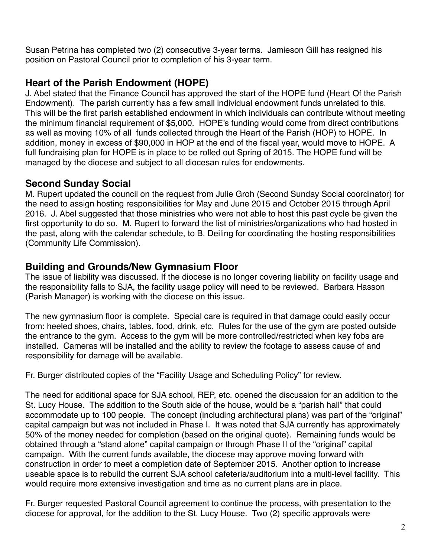Susan Petrina has completed two (2) consecutive 3-year terms. Jamieson Gill has resigned his position on Pastoral Council prior to completion of his 3-year term.

# **Heart of the Parish Endowment (HOPE)**

J. Abel stated that the Finance Council has approved the start of the HOPE fund (Heart Of the Parish Endowment). The parish currently has a few small individual endowment funds unrelated to this. This will be the first parish established endowment in which individuals can contribute without meeting the minimum financial requirement of \$5,000. HOPE's funding would come from direct contributions as well as moving 10% of all funds collected through the Heart of the Parish (HOP) to HOPE. In addition, money in excess of \$90,000 in HOP at the end of the fiscal year, would move to HOPE. A full fundraising plan for HOPE is in place to be rolled out Spring of 2015. The HOPE fund will be managed by the diocese and subject to all diocesan rules for endowments.

### **Second Sunday Social**

M. Rupert updated the council on the request from Julie Groh (Second Sunday Social coordinator) for the need to assign hosting responsibilities for May and June 2015 and October 2015 through April 2016. J. Abel suggested that those ministries who were not able to host this past cycle be given the first opportunity to do so. M. Rupert to forward the list of ministries/organizations who had hosted in the past, along with the calendar schedule, to B. Deiling for coordinating the hosting responsibilities (Community Life Commission).

## **Building and Grounds/New Gymnasium Floor**

The issue of liability was discussed. If the diocese is no longer covering liability on facility usage and the responsibility falls to SJA, the facility usage policy will need to be reviewed. Barbara Hasson (Parish Manager) is working with the diocese on this issue.

The new gymnasium floor is complete. Special care is required in that damage could easily occur from: heeled shoes, chairs, tables, food, drink, etc. Rules for the use of the gym are posted outside the entrance to the gym. Access to the gym will be more controlled/restricted when key fobs are installed. Cameras will be installed and the ability to review the footage to assess cause of and responsibility for damage will be available.

Fr. Burger distributed copies of the "Facility Usage and Scheduling Policy" for review.

The need for additional space for SJA school, REP, etc. opened the discussion for an addition to the St. Lucy House. The addition to the South side of the house, would be a "parish hall" that could accommodate up to 100 people. The concept (including architectural plans) was part of the "original" capital campaign but was not included in Phase I. It was noted that SJA currently has approximately 50% of the money needed for completion (based on the original quote). Remaining funds would be obtained through a "stand alone" capital campaign or through Phase II of the "original" capital campaign. With the current funds available, the diocese may approve moving forward with construction in order to meet a completion date of September 2015. Another option to increase useable space is to rebuild the current SJA school cafeteria/auditorium into a multi-level facility. This would require more extensive investigation and time as no current plans are in place.

Fr. Burger requested Pastoral Council agreement to continue the process, with presentation to the diocese for approval, for the addition to the St. Lucy House. Two (2) specific approvals were